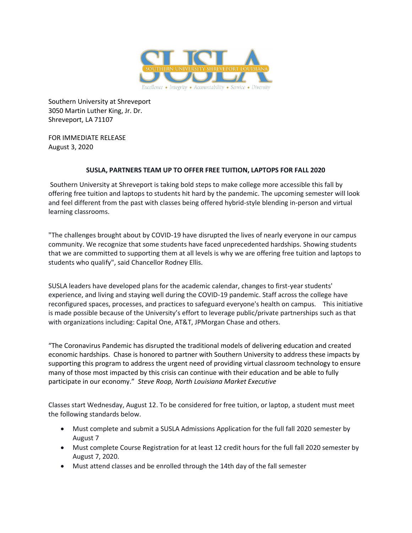

Southern University at Shreveport 3050 Martin Luther King, Jr. Dr. Shreveport, LA 71107

FOR IMMEDIATE RELEASE August 3, 2020

## **SUSLA, PARTNERS TEAM UP TO OFFER FREE TUITION, LAPTOPS FOR FALL 2020**

Southern University at Shreveport is taking bold steps to make college more accessible this fall by offering free tuition and laptops to students hit hard by the pandemic. The upcoming semester will look and feel different from the past with classes being offered hybrid-style blending in-person and virtual learning classrooms.

"The challenges brought about by COVID-19 have disrupted the lives of nearly everyone in our campus community. We recognize that some students have faced unprecedented hardships. Showing students that we are committed to supporting them at all levels is why we are offering free tuition and laptops to students who qualify", said Chancellor Rodney Ellis.

SUSLA leaders have developed plans for the academic calendar, changes to first-year students' experience, and living and staying well during the COVID-19 pandemic. Staff across the college have reconfigured spaces, processes, and practices to safeguard everyone's health on campus. This initiative is made possible because of the University's effort to leverage public/private partnerships such as that with organizations including: Capital One, AT&T, JPMorgan Chase and others.

"The Coronavirus Pandemic has disrupted the traditional models of delivering education and created economic hardships. Chase is honored to partner with Southern University to address these impacts by supporting this program to address the urgent need of providing virtual classroom technology to ensure many of those most impacted by this crisis can continue with their education and be able to fully participate in our economy." *Steve Roop, North Louisiana Market Executive*

Classes start Wednesday, August 12. To be considered for free tuition, or laptop, a student must meet the following standards below.

- Must complete and submit a SUSLA Admissions Application for the full fall 2020 semester by August 7
- Must complete Course Registration for at least 12 credit hours for the full fall 2020 semester by August 7, 2020.
- Must attend classes and be enrolled through the 14th day of the fall semester